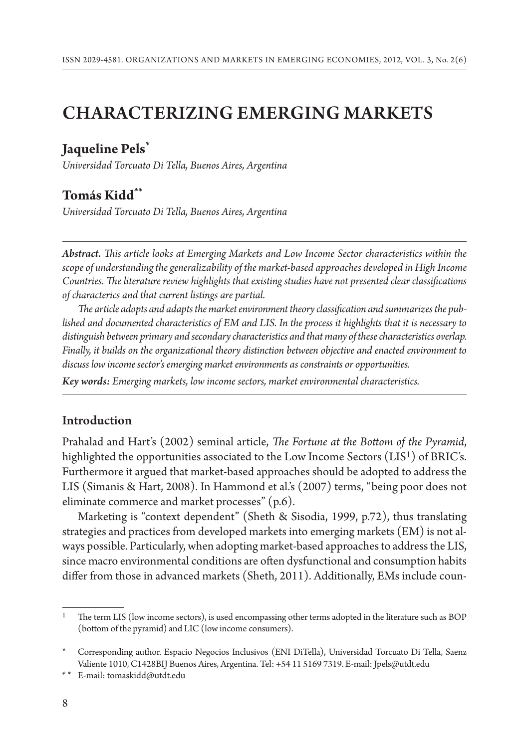# CHACTERIZING EMERGING MARKETS

# **Jaqueline Pels\***

*Universidad Torcuato Di Tella, Buenos Aires, Argentina*

# **Tomás Kidd\*\***

*Universidad Torcuato Di Tella, Buenos Aires, Argentina*

*Abstract. !is article looks at Emerging Markets and Low Income Sector characteristics within the scope of understanding the generalizability of the market-based approaches developed in High Income Countries. The literature review highlights that existing studies have not presented clear classifications of characterics and that current listings are partial.*

The article adopts and adapts the market environment theory classification and summarizes the pub*lished and documented characteristics of EM and LIS. In the process it highlights that it is necessary to distinguish between primary and secondary characteristics and that many of these characteristics overlap. Finally, it builds on the organizational theory distinction between objective and enacted environment to discuss low income sector's emerging market environments as constraints or opportunities.* 

*Key words: Emerging markets, low income sectors, market environmental characteristics.*

#### Introduction

Prahalad and Hart's (2002) seminal article, *The Fortune at the Bottom of the Pyramid*, highlighted the opportunities associated to the Low Income Sectors (LIS<sup>1</sup>) of BRIC's. Furthermore it argued that market-based approaches should be adopted to address the LIS (Simanis & Hart, 2008). In Hammond et al.'s (2007) terms, "being poor does not eliminate commerce and market processes" (p.6).

Marketing is "context dependent" (Sheth & Sisodia, 1999, p.72), thus translating strategies and practices from developed markets into emerging markets (EM) is not always possible. Particularly, when adopting market-based approaches to address the LIS, since macro environmental conditions are often dysfunctional and consumption habits differ from those in advanced markets (Sheth, 2011). Additionally, EMs include coun-

The term LIS (low income sectors), is used encompassing other terms adopted in the literature such as BOP  $($  bottom of the pyramid $)$  and LIC  $($  low income consumers $).$ 

<sup>\*</sup> Corresponding author. Espacio Negocios Inclusivos (ENI DiTella), Universidad Torcuato Di Tella, Saenz Valiente 1010, C1428BIJ Buenos Aires, Argentina. Tel: +54 11 5169 7319. E-mail: Jpels@utdt.edu

<sup>\* \*</sup> E-mail: tomaskidd@utdt.edu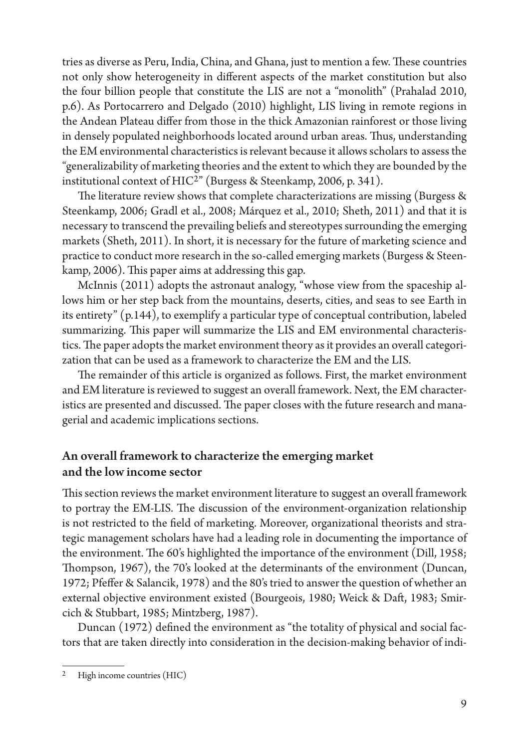tries as diverse as Peru, India, China, and Ghana, just to mention a few. These countries not only show heterogeneity in different aspects of the market constitution but also the four billion people that constitute the LIS are not a "monolith" (Prahalad 2010, p.6). As Portocarrero and Delgado (2010) highlight, LIS living in remote regions in the Andean Plateau differ from those in the thick Amazonian rainforest or those living in densely populated neighborhoods located around urban areas. Thus, understanding the EM environmental characteristics is relevant because it allows scholars to assess the "generalizability of marketing theories and the extent to which they are bounded by the institutional context of HIC2" (Burgess & Steenkamp, 2006, p. 341).

The literature review shows that complete characterizations are missing (Burgess  $\&$ Steenkamp, 2006; Gradl et al., 2008; Márquez et al., 2010; Sheth, 2011) and that it is necessary to transcend the prevailing beliefs and stereotypes surrounding the emerging markets (Sheth, 2011). In short, it is necessary for the future of marketing science and practice to conduct more research in the so-called emerging markets (Burgess & Steenkamp, 2006). This paper aims at addressing this gap.

McInnis (2011) adopts the astronaut analogy, "whose view from the spaceship allows him or her step back from the mountains, deserts, cities, and seas to see Earth in its entirety" (p.144), to exemplify a particular type of conceptual contribution, labeled summarizing. This paper will summarize the LIS and EM environmental characteristics. The paper adopts the market environment theory as it provides an overall categorization that can be used as a framework to characterize the EM and the LIS.

The remainder of this article is organized as follows. First, the market environment and EM literature is reviewed to suggest an overall framework. Next, the EM characteristics are presented and discussed. The paper closes with the future research and managerial and academic implications sections.

#### An overall framework to characterize the emerging market and the low income sector

This section reviews the market environment literature to suggest an overall framework to portray the EM-LIS. The discussion of the environment-organization relationship is not restricted to the field of marketing. Moreover, organizational theorists and strategic management scholars have had a leading role in documenting the importance of the environment. The 60's highlighted the importance of the environment (Dill, 1958; Thompson, 1967), the 70's looked at the determinants of the environment (Duncan, 1972; Pfeffer & Salancik, 1978) and the 80's tried to answer the question of whether an external objective environment existed (Bourgeois, 1980; Weick & Daft, 1983; Smircich & Stubbart, 1985; Mintzberg, 1987).

Duncan (1972) defined the environment as "the totality of physical and social factors that are taken directly into consideration in the decision-making behavior of indi-

High income countries (HIC)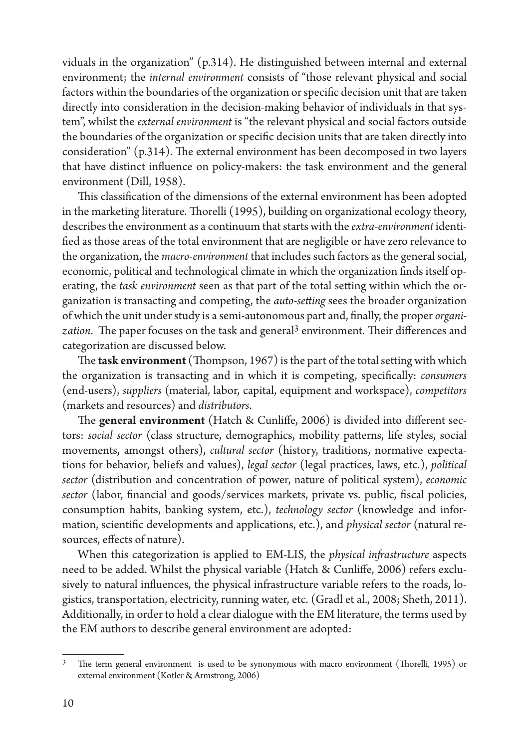viduals in the organization" (p.314). He distinguished between internal and external environment; the *internal environment* consists of "those relevant physical and social factors within the boundaries of the organization or specific decision unit that are taken directly into consideration in the decision-making behavior of individuals in that system", whilst the *external environment* is "the relevant physical and social factors outside the boundaries of the organization or specific decision units that are taken directly into consideration"  $(p.314)$ . The external environment has been decomposed in two layers that have distinct influence on policy-makers: the task environment and the general environment (Dill, 1958).

This classification of the dimensions of the external environment has been adopted in the marketing literature. Thorelli (1995), building on organizational ecology theory, describes the environment as a continuum that starts with the *extra-environment* identi fied as those areas of the total environment that are negligible or have zero relevance to the organization, the *macro-environment* that includes such factors as the general social, economic, political and technological climate in which the organization finds itself operating, the *task environment* seen as that part of the total setting within which the organization is transacting and competing, the *auto-setting* sees the broader organization of which the unit under study is a semi-autonomous part and, finally, the proper *organization*. The paper focuses on the task and general<sup>3</sup> environment. Their differences and categorization are discussed below.

The **task environment** (Thompson,  $1967$ ) is the part of the total setting with which the organization is transacting and in which it is competing, specifically: *consumers* (end-users), *suppliers* (material, labor, capital, equipment and workspace), *competitors* (markets and resources) and *distributors*.

The **general environment** (Hatch & Cunliffe, 2006) is divided into different sectors: *social sector* (class structure, demographics, mobility patterns, life styles, social movements, amongst others), *cultural sector* (history, traditions, normative expectations for behavior, beliefs and values), *legal sector* (legal practices, laws, etc.), *political sector* (distribution and concentration of power, nature of political system), *economic sector* (labor, financial and goods/services markets, private vs. public, fiscal policies, consumption habits, banking system, etc.), *technology sector* (knowledge and information, scientific developments and applications, etc.), and *physical sector* (natural resources, effects of nature).

When this categorization is applied to EM-LIS, the *physical infrastructure* aspects need to be added. Whilst the physical variable (Hatch & Cunliffe, 2006) refers exclusively to natural influences, the physical infrastructure variable refers to the roads, logistics, transportation, electricity, running water, etc. (Gradl et al., 2008; Sheth, 2011). Additionally, in order to hold a clear dialogue with the EM literature, the terms used by the EM authors to describe general environment are adopted:

 $3$  The term general environment is used to be synonymous with macro environment (Thorelli, 1995) or external environment (Kotler & Armstrong, 2006)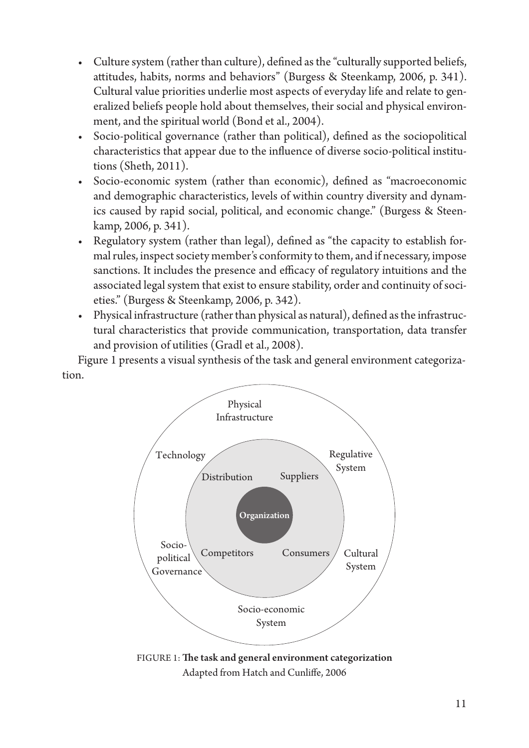- Culture system (rather than culture), defined as the "culturally supported beliefs, attitudes, habits, norms and behaviors" (Burgess & Steenkamp, 2006, p. 341). Cultural value priorities underlie most aspects of everyday life and relate to generalized beliefs people hold about themselves, their social and physical environment, and the spiritual world (Bond et al., 2004).
- Socio-political governance (rather than political), defined as the sociopolitical characteristics that appear due to the influence of diverse socio-political institutions (Sheth,  $2011$ ).
- Socio-economic system (rather than economic), defined as "macroeconomic and demographic characteristics, levels of within country diversity and dynamics caused by rapid social, political, and economic change." (Burgess & Steenkamp, 2006, p. 341).
- Regulatory system (rather than legal), defined as "the capacity to establish formal rules, inspect society member's conformity to them, and if necessary, impose sanctions. It includes the presence and efficacy of regulatory intuitions and the associated legal system that exist to ensure stability, order and continuity of societies." (Burgess & Steenkamp, 2006, p. 342).
- Physical infrastructure (rather than physical as natural), defined as the infrastructural characteristics that provide communication, transportation, data transfer and provision of utilities (Gradl et al., 2008).

Figure 1 presents a visual synthesis of the task and general environment categorization.



Adapted from Hatch and Cunliffe, 2006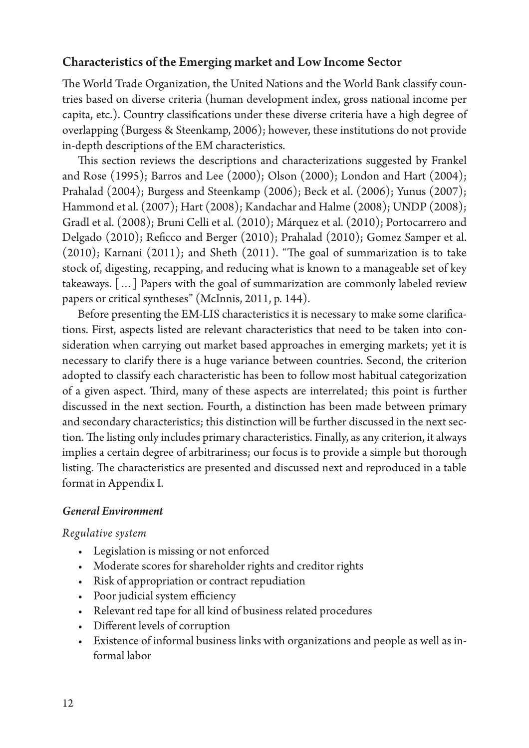#### Characteristics of the Emerging market and Low Income Sector

The World Trade Organization, the United Nations and the World Bank classify countries based on diverse criteria (human development index, gross national income per capita, etc.). Country classifications under these diverse criteria have a high degree of overlapping (Burgess & Steenkamp, 2006); however, these institutions do not provide in-depth descriptions of the EM characteristics.

This section reviews the descriptions and characterizations suggested by Frankel and Rose (1995); Barros and Lee (2000); Olson (2000); London and Hart (2004); Prahalad (2004); Burgess and Steenkamp (2006); Beck et al. (2006); Yunus (2007); Hammond et al. (2007); Hart (2008); Kandachar and Halme (2008); UNDP (2008); Gradl et al. (2008); Bruni Celli et al. (2010); Márquez et al. (2010); Portocarrero and Delgado (2010); Reficco and Berger (2010); Prahalad (2010); Gomez Samper et al.  $(2010)$ ; Karnani  $(2011)$ ; and Sheth  $(2011)$ . "The goal of summarization is to take stock of, digesting, recapping, and reducing what is known to a manageable set of key takeaways. […] Papers with the goal of summarization are commonly labeled review papers or critical syntheses" (McInnis, 2011, p. 144).

Before presenting the EM-LIS characteristics it is necessary to make some clarifications. First, aspects listed are relevant characteristics that need to be taken into consideration when carrying out market based approaches in emerging markets; yet it is necessary to clarify there is a huge variance between countries. Second, the criterion adopted to classify each characteristic has been to follow most habitual categorization of a given aspect. Third, many of these aspects are interrelated; this point is further discussed in the next section. Fourth, a distinction has been made between primary and secondary characteristics; this distinction will be further discussed in the next section. The listing only includes primary characteristics. Finally, as any criterion, it always implies a certain degree of arbitrariness; our focus is to provide a simple but thorough listing. The characteristics are presented and discussed next and reproduced in a table format in Appendix I.

#### *General Environment*

#### *Regulative system*

- Legislation is missing or not enforced
- Moderate scores for shareholder rights and creditor rights
- Risk of appropriation or contract repudiation
- Poor judicial system efficiency
- Relevant red tape for all kind of business related procedures
- Different levels of corruption
- Existence of informal business links with organizations and people as well as informal labor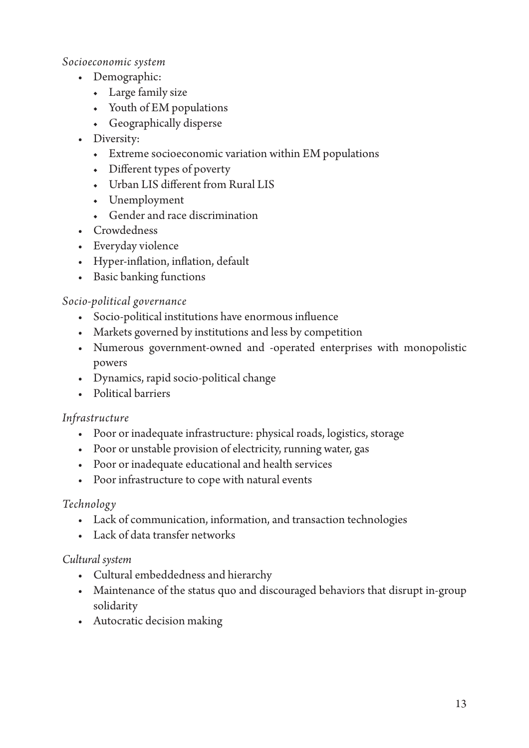#### Socioeconomic system

- Demographic:
	- $\leftarrow$  Large family size
	- Youth of EM populations
	- Geographically disperse
- Diversity:
	- Extreme socioeconomic variation within EM populations
	- Different types of poverty
	- Urban LIS different from Rural LIS
	- Unemployment
	- Gender and race discrimination
- Crowdedness
- Everyday violence
- Hyper-inflation, inflation, default
- Basic banking functions

#### Socio-political governance

- Socio-political institutions have enormous influence
- Markets governed by institutions and less by competition
- Numerous government-owned and -operated enterprises with monopolistic powers
- · Dynamics, rapid socio-political change
- Political barriers

#### Infrastructure

- Poor or inadequate infrastructure: physical roads, logistics, storage
- Poor or unstable provision of electricity, running water, gas
- Poor or inadequate educational and health services
- Poor infrastructure to cope with natural events

## Technology

- Lack of communication, information, and transaction technologies
- Lack of data transfer networks

#### Cultural system

- Cultural embeddedness and hierarchy
- Maintenance of the status quo and discouraged behaviors that disrupt in-group solidarity
- Autocratic decision making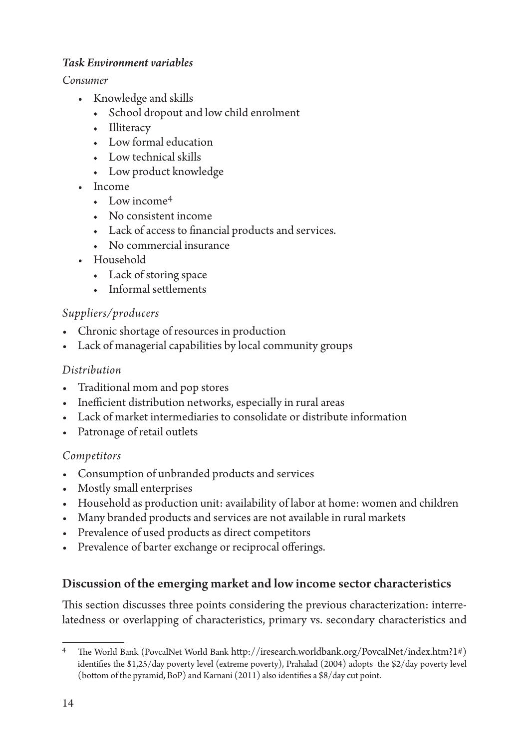#### *Task Environment variables*

*Consumer*

- Knowledge and skills
	- ◆ School dropout and low child enrolment
	- ◆ Illiteracy
	- $\bullet$  Low formal education
	- $\bullet$  Low technical skills
	- ◆ Low product knowledge
- Income
	- $\bullet$  Low income<sup>4</sup>
	- ◆ No consistent income
	- Lack of access to financial products and services.
	- No commercial insurance
- Household
	- ◆ Lack of storing space
	- $\leftarrow$  Informal settlements

# *Suppliers/producers*

- Chronic shortage of resources in production
- Lack of managerial capabilities by local community groups

# *Distribution*

- Traditional mom and pop stores
- Inefficient distribution networks, especially in rural areas
- Lack of market intermediaries to consolidate or distribute information
- Patronage of retail outlets

## *Competitors*

- Consumption of unbranded products and services
- Mostly small enterprises
- Household as production unit: availability of labor at home: women and children
- Many branded products and services are not available in rural markets
- Prevalence of used products as direct competitors
- Prevalence of barter exchange or reciprocal offerings.

# Discussion of the emerging market and low income sector characteristics

This section discusses three points considering the previous characterization: interrelatedness or overlapping of characteristics, primary vs. secondary characteristics and

The World Bank (PovcalNet World Bank http://iresearch.worldbank.org/PovcalNet/index.htm?1#) identifies the  $$1,25/day$  poverty level (extreme poverty), Prahalad (2004) adopts the  $$2/day$  poverty level (bottom of the pyramid, BoP) and Karnani (2011) also identifies a  $\frac{8}{4}$ day cut point.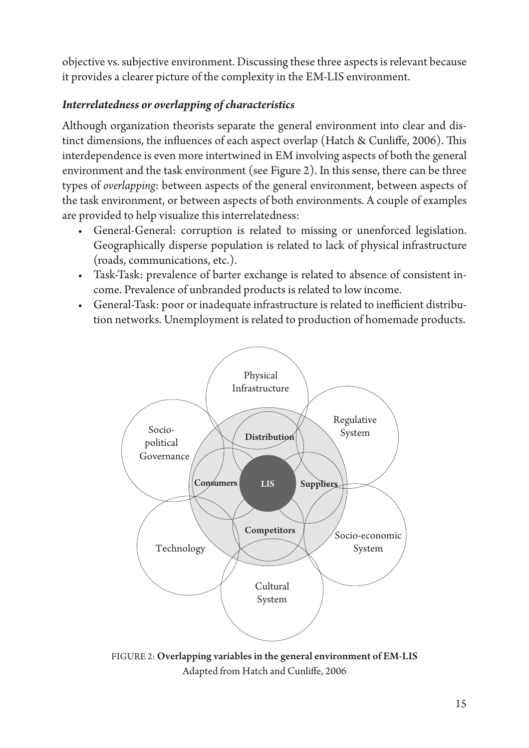objective vs. subjective environment. Discussing these three aspects is relevant because it provides a clearer picture of the complexity in the EM-LIS environment.

## *Interrelatedness or overlapping of characteristics*

Although organization theorists separate the general environment into clear and distinct dimensions, the influences of each aspect overlap (Hatch & Cunliffe, 2006). This interdependence is even more intertwined in EM involving aspects of both the general environment and the task environment (see Figure 2). In this sense, there can be three types of *overlapping*: between aspects of the general environment, between aspects of the task environment, or between aspects of both environments. A couple of examples are provided to help visualize this interrelatedness:

- General-General: corruption is related to missing or unenforced legislation. Geographically disperse population is related to lack of physical infrastructure (roads, communications, etc.).
- Task-Task: prevalence of barter exchange is related to absence of consistent income. Prevalence of unbranded products is related to low income.
- General-Task: poor or inadequate infrastructure is related to inefficient distribution networks. Unemployment is related to production of homemade products.



FIGURE 2: Overlapping variables in the general environment of EM-LIS Adapted from Hatch and Cunliffe, 2006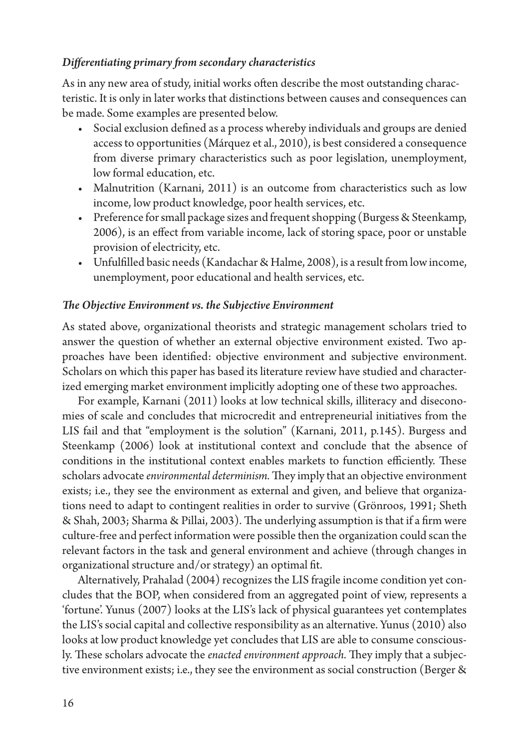#### *Differentiating primary from secondary characteristics*

As in any new area of study, initial works often describe the most outstanding characteristic. It is only in later works that distinctions between causes and consequences can be made. Some examples are presented below.

- Social exclusion defined as a process whereby individuals and groups are denied access to opportunities (Márquez et al., 2010), is best considered a consequence from diverse primary characteristics such as poor legislation, unemployment, low formal education, etc.
- Malnutrition (Karnani, 2011) is an outcome from characteristics such as low income, low product knowledge, poor health services, etc.
- Preference for small package sizes and frequent shopping (Burgess & Steenkamp, 2006), is an effect from variable income, lack of storing space, poor or unstable provision of electricity, etc.
- Unfulfilled basic needs (Kandachar & Halme, 2008), is a result from low income, unemployment, poor educational and health services, etc.

#### **The Objective Environment vs. the Subjective Environment**

As stated above, organizational theorists and strategic management scholars tried to answer the question of whether an external objective environment existed. Two approaches have been identified: objective environment and subjective environment. Scholars on which this paper has based its literature review have studied and characterized emerging market environment implicitly adopting one of these two approaches.

For example, Karnani (2011) looks at low technical skills, illiteracy and diseconomies of scale and concludes that microcredit and entrepreneurial initiatives from the LIS fail and that "employment is the solution" (Karnani, 2011, p.145). Burgess and Steenkamp (2006) look at institutional context and conclude that the absence of conditions in the institutional context enables markets to function efficiently. These scholars advocate *environmental determinism*. They imply that an objective environment exists; i.e., they see the environment as external and given, and believe that organizations need to adapt to contingent realities in order to survive (Grönroos, 1991; Sheth & Shah, 2003; Sharma & Pillai, 2003). The underlying assumption is that if a firm were culture-free and perfect information were possible then the organization could scan the relevant factors in the task and general environment and achieve (through changes in organizational structure and/or strategy) an optimal fit.

Alternatively, Prahalad (2004) recognizes the LIS fragile income condition yet concludes that the BOP, when considered from an aggregated point of view, represents a 'fortune'. Yunus (2007) looks at the LIS's lack of physical guarantees yet contemplates the LIS's social capital and collective responsibility as an alternative. Yunus (2010) also looks at low product knowledge yet concludes that LIS are able to consume consciously. These scholars advocate the *enacted environment approach*. They imply that a subjective environment exists; i.e., they see the environment as social construction (Berger &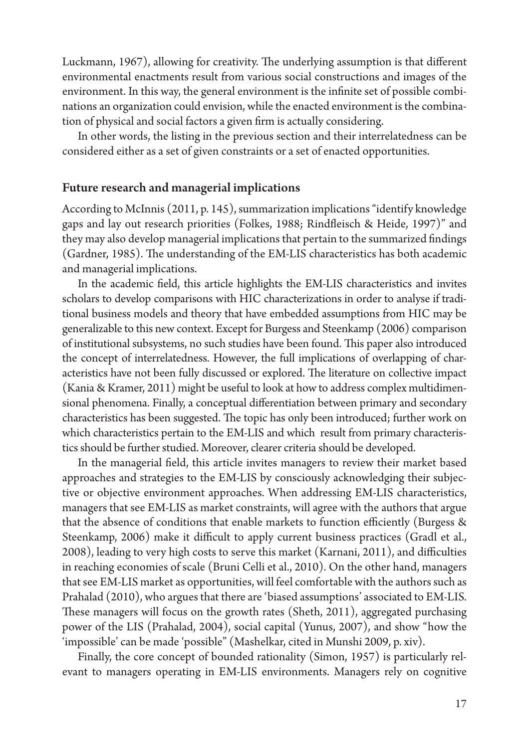Luckmann, 1967), allowing for creativity. The underlying assumption is that different environmental enactments result from various social constructions and images of the environment. In this way, the general environment is the infinite set of possible combinations an organization could envision, while the enacted environment is the combination of physical and social factors a given firm is actually considering.

In other words, the listing in the previous section and their interrelatedness can be considered either as a set of given constraints or a set of enacted opportunities.

#### Future research and managerial implications

According to McInnis (2011, p. 145), summarization implications "identify knowledge gaps and lay out research priorities (Folkes, 1988; Rindfleisch & Heide, 1997)" and they may also develop managerial implications that pertain to the summarized findings (Gardner, 1985). The understanding of the EM-LIS characteristics has both academic and managerial implications.

In the academic field, this article highlights the EM-LIS characteristics and invites scholars to develop comparisons with HIC characterizations in order to analyse if traditional business models and theory that have embedded assumptions from HIC may be generalizable to this new context. Except for Burgess and Steenkamp (2006) comparison of institutional subsystems, no such studies have been found. #is paper also introduced the concept of interrelatedness. However, the full implications of overlapping of characteristics have not been fully discussed or explored. The literature on collective impact (Kania & Kramer, 2011) might be useful to look at how to address complex multidimensional phenomena. Finally, a conceptual differentiation between primary and secondary characteristics has been suggested. The topic has only been introduced; further work on which characteristics pertain to the EM-LIS and which result from primary characteristics should be further studied. Moreover, clearer criteria should be developed.

In the managerial field, this article invites managers to review their market based approaches and strategies to the EM-LIS by consciously acknowledging their subjective or objective environment approaches. When addressing EM-LIS characteristics, managers that see EM-LIS as market constraints, will agree with the authors that argue that the absence of conditions that enable markets to function efficiently (Burgess  $\&$ Steenkamp, 2006) make it difficult to apply current business practices (Gradl et al.,  $2008$ ), leading to very high costs to serve this market (Karnani, 2011), and difficulties in reaching economies of scale (Bruni Celli et al., 2010). On the other hand, managers that see EM-LIS market as opportunities, will feel comfortable with the authors such as Prahalad (2010), who argues that there are 'biased assumptions' associated to EM-LIS. These managers will focus on the growth rates (Sheth, 2011), aggregated purchasing power of the LIS (Prahalad, 2004), social capital (Yunus, 2007), and show "how the 'impossible' can be made 'possible" (Mashelkar, cited in Munshi 2009, p. xiv).

Finally, the core concept of bounded rationality (Simon, 1957) is particularly relevant to managers operating in EM-LIS environments. Managers rely on cognitive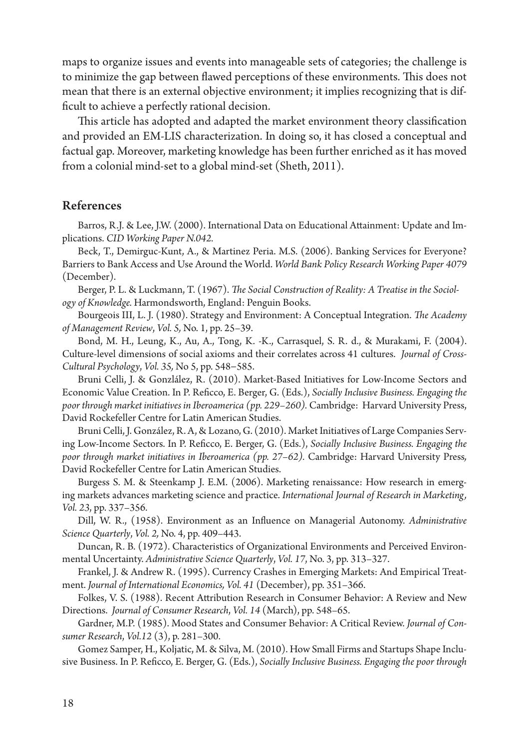maps to organize issues and events into manageable sets of categories; the challenge is to minimize the gap between flawed perceptions of these environments. This does not mean that there is an external objective environment; it implies recognizing that is dif ficult to achieve a perfectly rational decision.

This article has adopted and adapted the market environment theory classification and provided an EM-LIS characterization. In doing so, it has closed a conceptual and factual gap. Moreover, marketing knowledge has been further enriched as it has moved from a colonial mind-set to a global mind-set (Sheth, 2011).

#### References

Barros, R.J. & Lee, J.W. (2000). International Data on Educational Attainment: Update and Implications. *CID Working Paper N.042.*

Beck, T., Demirguc-Kunt, A., & Martinez Peria. M.S. (2006). Banking Services for Everyone? Barriers to Bank Access and Use Around the World. *World Bank Policy Research Working Paper 4079* (December).

Berger, P. L. & Luckmann, T. (1967). *The Social Construction of Reality: A Treatise in the Sociology of Knowledge.* Harmondsworth, England: Penguin Books.

Bourgeois III, L. J. (1980). Strategy and Environment: A Conceptual Integration. *The Academy of Management Review*, *Vol. 5,* No. 1, pp. 25–39.

Bond, M. H., Leung, K., Au, A., Tong, K. -K., Carrasquel, S. R. d., & Murakami, F. (2004). Culture-level dimensions of social axioms and their correlates across 41 cultures. *Journal of Cross-Cultural Psychology*, *Vol. 35,* No 5, pp. 548−585.

Bruni Celli, J. & Gonzlález, R. (2010). Market-Based Initiatives for Low-Income Sectors and Economic Value Creation. In P. Reficco, E. Berger, G. (Eds.), *Socially Inclusive Business. Engaging the poor through market initiatives in Iberoamerica (pp. 229–260).* Cambridge: Harvard University Press, David Rockefeller Centre for Latin American Studies.

Bruni Celli, J. González, R. A, & Lozano, G. (2010). Market Initiatives of Large Companies Serving Low-Income Sectors. In P. Reficco, E. Berger, G. (Eds.), *Socially Inclusive Business. Engaging the poor through market initiatives in Iberoamerica (pp. 27–62).* Cambridge: Harvard University Press*,*  David Rockefeller Centre for Latin American Studies.

Burgess S. M. & Steenkamp J. E.M. (2006). Marketing renaissance: How research in emerging markets advances marketing science and practice. *International Journal of Research in Marketing, Vol. 23*, pp. 337–356.

Dill, W. R., (1958). Environment as an Influence on Managerial Autonomy. *Administrative Science Quarterly*, *Vol. 2,* No. 4, pp. 409–443.

Duncan, R. B. (1972). Characteristics of Organizational Environments and Perceived Environmental Uncertainty. *Administrative Science Quarterly*, *Vol. 17*, No. 3, pp. 313–327.

Frankel, J. & Andrew R. (1995). Currency Crashes in Emerging Markets: And Empirical Treatment. *Journal of International Economics, Vol. 41* (December), pp. 351–366.

Folkes, V. S. (1988). Recent Attribution Research in Consumer Behavior: A Review and New Directions. *Journal of Consumer Research*, *Vol. 14* (March), pp. 548–65.

Gardner, M.P. (1985). Mood States and Consumer Behavior: A Critical Review. *Journal of Consumer Research*, *Vol.12* (3), p. 281–300.

Gomez Samper, H., Koljatic, M. & Silva, M. (2010). How Small Firms and Startups Shape Inclusive Business. In P. Reficco, E. Berger, G. (Eds.), *Socially Inclusive Business. Engaging the poor through*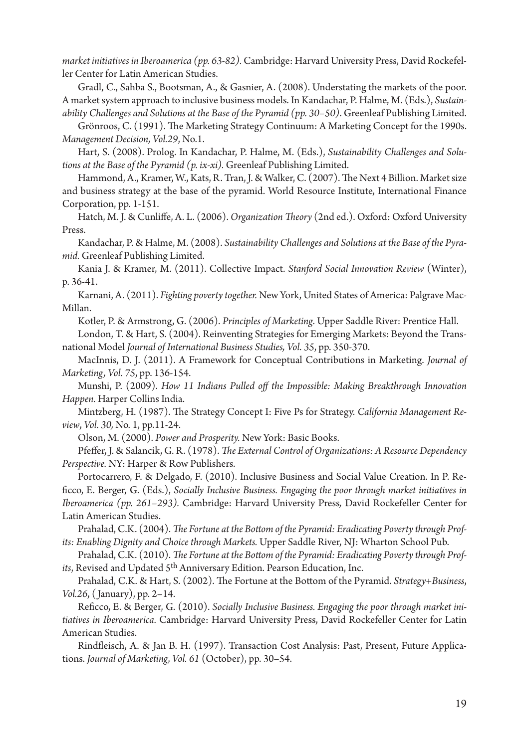*market initiatives in Iberoamerica (pp. 63-82).* Cambridge: Harvard University Press, David Rockefeller Center for Latin American Studies.

Gradl, C., Sahba S., Bootsman, A., & Gasnier, A. (2008). Understating the markets of the poor. A market system approach to inclusive business models. In Kandachar, P. Halme, M. (Eds.), *Sustainability Challenges and Solutions at the Base of the Pyramid (pp. 30–50)*. Greenleaf Publishing Limited.

Grönroos, C. (1991). The Marketing Strategy Continuum: A Marketing Concept for the 1990s. *Management Decision, Vol.29*, No.1.

Hart, S. (2008). Prolog. In Kandachar, P. Halme, M. (Eds.), *Sustainability Challenges and Solutions at the Base of the Pyramid (p. ix-xi).* Greenleaf Publishing Limited.

Hammond, A., Kramer, W., Kats, R. Tran, J. & Walker, C. (2007). The Next 4 Billion. Market size and business strategy at the base of the pyramid. World Resource Institute, International Finance Corporation, pp. 1-151.

Hatch, M. J. & Cunliffe, A. L. (2006). *Organization Theory* (2nd ed.). Oxford: Oxford University Press.

Kandachar, P. & Halme, M. (2008). *Sustainability Challenges and Solutions at the Base of the Pyramid.* Greenleaf Publishing Limited.

Kania J. & Kramer, M. (2011). Collective Impact. *Stanford Social Innovation Review* (Winter), p. 36-41.

Karnani, A. (2011). *Fighting poverty together.* New York, United States of America: Palgrave Mac-Millan.

Kotler, P. & Armstrong, G. (2006). *Principles of Marketing*. Upper Saddle River: Prentice Hall.

London, T. & Hart, S. (2004). Reinventing Strategies for Emerging Markets: Beyond the Transnational Model *Journal of International Business Studies, Vol. 35*, pp. 350-370.

MacInnis, D. J. (2011). A Framework for Conceptual Contributions in Marketing. *Journal of Marketing, Vol. 75*, pp. 136-154.

Munshi, P. (2009). *How 11 Indians Pulled off the Impossible: Making Breakthrough Innovation Happen.* Harper Collins India.

Mintzberg, H. (1987). The Strategy Concept I: Five Ps for Strategy. *California Management Review*, *Vol. 30,* No. 1, pp.11-24.

Olson, M. (2000). *Power and Prosperity.* New York: Basic Books.

Pfeffer, J. & Salancik, G. R. (1978). *The External Control of Organizations: A Resource Dependency Perspective.* NY: Harper & Row Publishers.

Portocarrero, F. & Delgado, F. (2010). Inclusive Business and Social Value Creation. In P. Re ficco, E. Berger, G. (Eds.), *Socially Inclusive Business. Engaging the poor through market initiatives in Iberoamerica (pp. 261–293).* Cambridge: Harvard University Press*,* David Rockefeller Center for Latin American Studies.

Prahalad, C.K. (2004). The Fortune at the Bottom of the Pyramid: Eradicating Poverty through Prof*its: Enabling Dignity and Choice through Markets.* Upper Saddle River, NJ: Wharton School Pub.

Prahalad, C.K. (2010). The Fortune at the Bottom of the Pyramid: Eradicating Poverty through Prof*its*, Revised and Updated 5th Anniversary Edition. Pearson Education, Inc.

Prahalad, C.K. & Hart, S. (2002). The Fortune at the Bottom of the Pyramid. *Strategy+Business*, *Vol.26*, ( January), pp. 2–14.

Reficco, E. & Berger, G. (2010). *Socially Inclusive Business. Engaging the poor through market initiatives in Iberoamerica.* Cambridge: Harvard University Press, David Rockefeller Center for Latin American Studies.

Rindfleisch, A. & Jan B. H. (1997). Transaction Cost Analysis: Past, Present, Future Applications. *Journal of Marketing*, *Vol. 61* (October), pp. 30–54.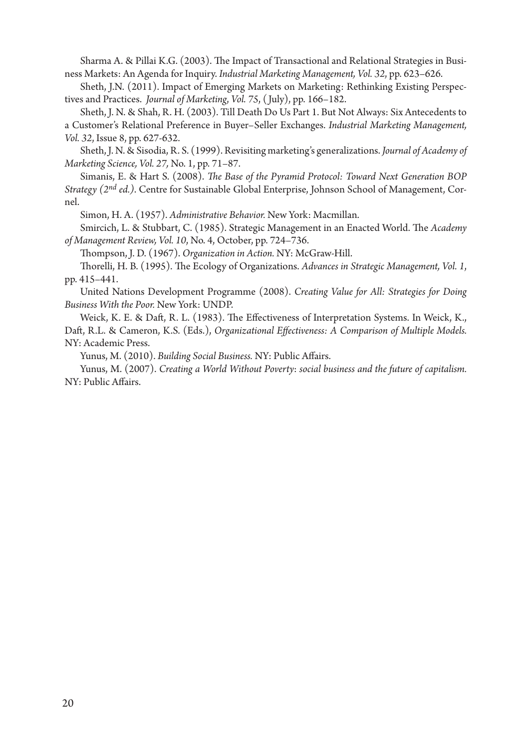Sharma A. & Pillai K.G. (2003). The Impact of Transactional and Relational Strategies in Business Markets: An Agenda for Inquiry. *Industrial Marketing Management, Vol. 32*, pp. 623–626.

Sheth, J.N. (2011). Impact of Emerging Markets on Marketing: Rethinking Existing Perspectives and Practices. *Journal of Marketing*, *Vol. 75*, ( July), pp. 166–182.

Sheth, J. N. & Shah, R. H. (2003). Till Death Do Us Part 1. But Not Always: Six Antecedents to a Customer's Relational Preference in Buyer–Seller Exchanges. *Industrial Marketing Management, Vol. 32*, Issue 8, pp. 627-632.

Sheth, J. N. & Sisodia, R. S. (1999). Revisiting marketing's generalizations. *Journal of Academy of Marketing Science, Vol. 27,* No. 1, pp. 71–87.

Simanis, E. & Hart S. (2008). *The Base of the Pyramid Protocol: Toward Next Generation BOP Strategy (2nd ed.)*. Centre for Sustainable Global Enterprise, Johnson School of Management, Cornel.

Simon, H. A. (1957). *Administrative Behavior.* New York: Macmillan.

Smircich, L. & Stubbart, C. (1985). Strategic Management in an Enacted World. The *Academy of Management Review, Vol. 10*, No. 4, October, pp. 724–736.

#ompson, J. D. (1967). *Organization in Action.* NY: McGraw-Hill.

Thorelli, H. B. (1995). The Ecology of Organizations. *Advances in Strategic Management, Vol. 1*, pp. 415–441.

United Nations Development Programme (2008). *Creating Value for All: Strategies for Doing Business With the Poor.* New York: UNDP.

Weick, K. E. & Daft, R. L. (1983). The Effectiveness of Interpretation Systems. In Weick, K., Daft, R.L. & Cameron, K.S. (Eds.), *Organizational Effectiveness: A Comparison of Multiple Models.* NY: Academic Press.

Yunus, M. (2010). *Building Social Business*. NY: Public Affairs.

Yunus, M. (2007). *Creating a World Without Poverty*: *social business and the future of capitalism.* NY: Public Affairs.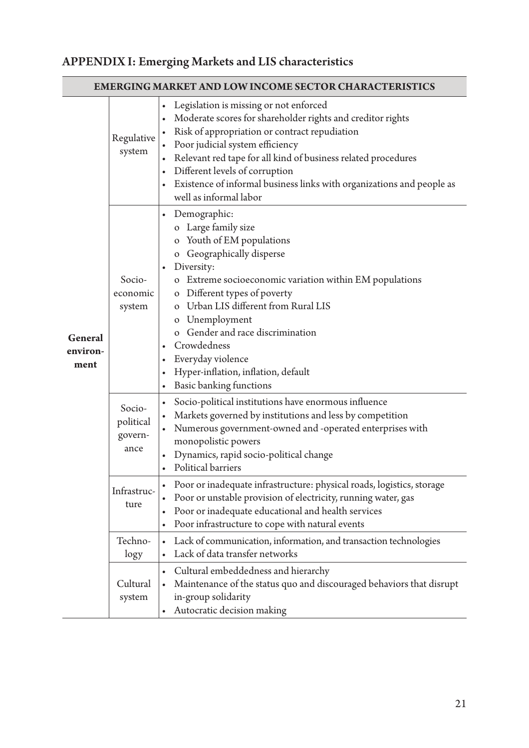# APPENDIX I: Emerging Markets and LIS characteristics

| <b>EMERGING MARKET AND LOW INCOME SECTOR CHARACTERISTICS</b> |                                        |                                                                                                                                                                                                                                                                                                                                                                                                                                                                              |  |  |
|--------------------------------------------------------------|----------------------------------------|------------------------------------------------------------------------------------------------------------------------------------------------------------------------------------------------------------------------------------------------------------------------------------------------------------------------------------------------------------------------------------------------------------------------------------------------------------------------------|--|--|
| General<br>environ-<br>ment                                  | Regulative<br>system                   | Legislation is missing or not enforced<br>$\bullet$<br>Moderate scores for shareholder rights and creditor rights<br>$\bullet$<br>Risk of appropriation or contract repudiation<br>$\bullet$<br>Poor judicial system efficiency<br>$\bullet$<br>Relevant red tape for all kind of business related procedures<br>$\bullet$<br>Different levels of corruption<br>$\bullet$<br>Existence of informal business links with organizations and people as<br>well as informal labor |  |  |
|                                                              | Socio-<br>economic<br>system           | Demographic:<br>$\bullet$<br>o Large family size<br>o Youth of EM populations<br>o Geographically disperse<br>Diversity:<br>o Extreme socioeconomic variation within EM populations<br>o Different types of poverty<br>o Urban LIS different from Rural LIS<br>o Unemployment<br>o Gender and race discrimination<br>Crowdedness<br>$\bullet$<br>Everyday violence<br>$\bullet$<br>Hyper-inflation, inflation, default<br>$\bullet$<br>Basic banking functions<br>٠          |  |  |
|                                                              | Socio-<br>political<br>govern-<br>ance | Socio-political institutions have enormous influence<br>$\bullet$<br>Markets governed by institutions and less by competition<br>$\bullet$<br>Numerous government-owned and -operated enterprises with<br>$\bullet$<br>monopolistic powers<br>Dynamics, rapid socio-political change<br>$\bullet$<br>Political barriers<br>$\bullet$                                                                                                                                         |  |  |
|                                                              | Infrastruc-<br>ture                    | Poor or inadequate infrastructure: physical roads, logistics, storage<br>$\bullet$<br>Poor or unstable provision of electricity, running water, gas<br>$\bullet$<br>Poor or inadequate educational and health services<br>$\bullet$<br>Poor infrastructure to cope with natural events<br>$\bullet$                                                                                                                                                                          |  |  |
|                                                              | Techno-<br>logy                        | Lack of communication, information, and transaction technologies<br>$\bullet$<br>Lack of data transfer networks<br>$\bullet$                                                                                                                                                                                                                                                                                                                                                 |  |  |
|                                                              | Cultural<br>system                     | Cultural embeddedness and hierarchy<br>$\bullet$<br>Maintenance of the status quo and discouraged behaviors that disrupt<br>$\bullet$<br>in-group solidarity<br>Autocratic decision making                                                                                                                                                                                                                                                                                   |  |  |